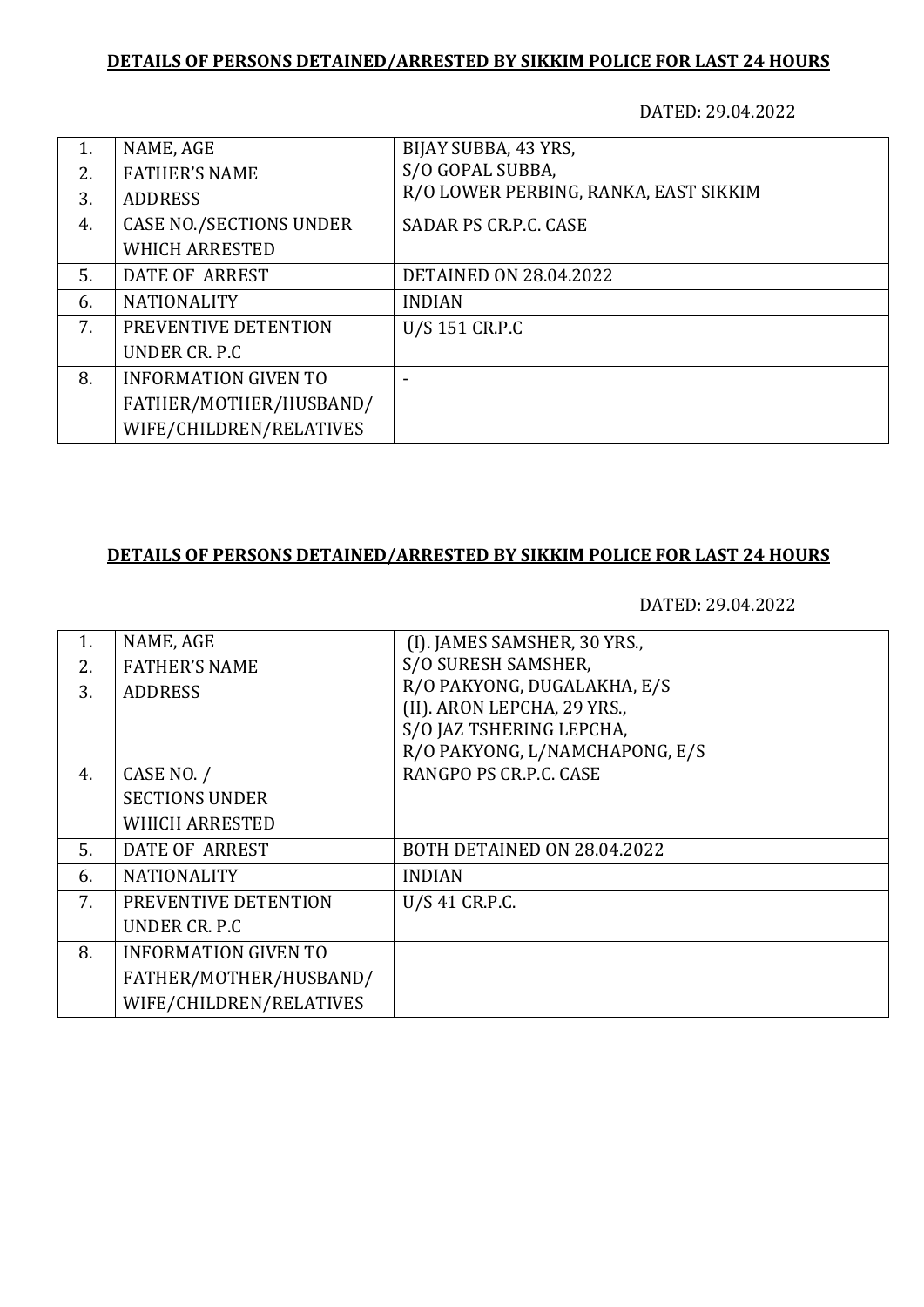## **DETAILS OF PERSONS DETAINED/ARRESTED BY SIKKIM POLICE FOR LAST 24 HOURS**

DATED: 29.04.2022

|                                | BIJAY SUBBA, 43 YRS,                  |
|--------------------------------|---------------------------------------|
| <b>FATHER'S NAME</b>           | S/O GOPAL SUBBA,                      |
| <b>ADDRESS</b>                 | R/O LOWER PERBING, RANKA, EAST SIKKIM |
| <b>CASE NO./SECTIONS UNDER</b> | SADAR PS CR.P.C. CASE                 |
| <b>WHICH ARRESTED</b>          |                                       |
| DATE OF ARREST                 | <b>DETAINED ON 28.04.2022</b>         |
| <b>NATIONALITY</b>             | <b>INDIAN</b>                         |
| PREVENTIVE DETENTION           | U/S 151 CR.P.C                        |
| UNDER CR. P.C.                 |                                       |
| <b>INFORMATION GIVEN TO</b>    |                                       |
| FATHER/MOTHER/HUSBAND/         |                                       |
| WIFE/CHILDREN/RELATIVES        |                                       |
|                                | NAME, AGE                             |

## **DETAILS OF PERSONS DETAINED/ARRESTED BY SIKKIM POLICE FOR LAST 24 HOURS**

DATED: 29.04.2022

| NAME, AGE                   | (I). JAMES SAMSHER, 30 YRS.,   |
|-----------------------------|--------------------------------|
| <b>FATHER'S NAME</b>        | S/O SURESH SAMSHER,            |
|                             | R/O PAKYONG, DUGALAKHA, E/S    |
|                             | (II). ARON LEPCHA, 29 YRS.,    |
|                             | S/O JAZ TSHERING LEPCHA,       |
|                             | R/O PAKYONG, L/NAMCHAPONG, E/S |
| CASE NO. /                  | RANGPO PS CR.P.C. CASE         |
| <b>SECTIONS UNDER</b>       |                                |
| <b>WHICH ARRESTED</b>       |                                |
| DATE OF ARREST              | BOTH DETAINED ON 28.04.2022    |
| <b>NATIONALITY</b>          | <b>INDIAN</b>                  |
| PREVENTIVE DETENTION        | U/S 41 CR.P.C.                 |
| UNDER CR. P.C.              |                                |
| <b>INFORMATION GIVEN TO</b> |                                |
| FATHER/MOTHER/HUSBAND/      |                                |
| WIFE/CHILDREN/RELATIVES     |                                |
|                             | <b>ADDRESS</b>                 |